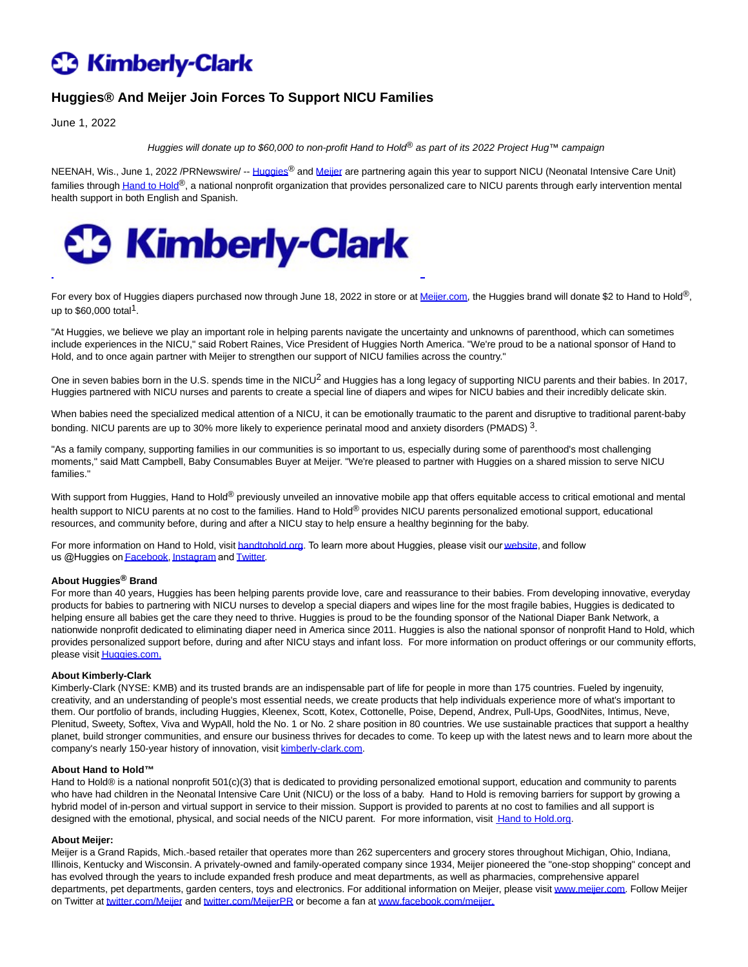# **C** Kimberly-Clark

## **Huggies® And Meijer Join Forces To Support NICU Families**

June 1, 2022

Huggies will donate up to \$60,000 to non-profit Hand to Hold<sup>®</sup> as part of its 2022 Project Hug™ campaign

NEENAH, Wis., June 1, 2022 /PRNewswire/ -- [Huggies](https://c212.net/c/link/?t=0&l=en&o=3547240-1&h=1032849933&u=https%3A%2F%2Fwww.huggies.com%2Fen-US&a=Huggies)® and [Meijer a](https://c212.net/c/link/?t=0&l=en&o=3547240-1&h=2332690489&u=https%3A%2F%2Fwww.meijer.com%2F&a=Meijer)re partnering again this year to support NICU (Neonatal Intensive Care Unit) families throug[h Hand to Hold](https://c212.net/c/link/?t=0&l=en&o=3547240-1&h=1163665644&u=https%3A%2F%2Fhandtohold.org%2F&a=Hand+to+Hold)<sup>®</sup>, a national nonprofit organization that provides personalized care to NICU parents through early intervention mental health support in both English and Spanish.



For every box of Huggies diapers purchased now through June 18, 2022 in store or a[t Meijer.com,](http://meijer.com/) the Huggies brand will donate \$2 to Hand to Hold®, up to  $$60,000$  total<sup>1</sup>.

"At Huggies, we believe we play an important role in helping parents navigate the uncertainty and unknowns of parenthood, which can sometimes include experiences in the NICU," said Robert Raines, Vice President of Huggies North America. "We're proud to be a national sponsor of Hand to Hold, and to once again partner with Meijer to strengthen our support of NICU families across the country."

One in seven babies born in the U.S. spends time in the NICU<sup>2</sup> and Huggies has a long legacy of supporting NICU parents and their babies. In 2017, Huggies partnered with NICU nurses and parents to create a special line of diapers and wipes for NICU babies and their incredibly delicate skin.

When babies need the specialized medical attention of a NICU, it can be emotionally traumatic to the parent and disruptive to traditional parent-baby bonding. NICU parents are up to 30% more likely to experience perinatal mood and anxiety disorders (PMADS) 3.

"As a family company, supporting families in our communities is so important to us, especially during some of parenthood's most challenging moments," said Matt Campbell, Baby Consumables Buyer at Meijer. "We're pleased to partner with Huggies on a shared mission to serve NICU families."

With support from Huggies, Hand to Hold® previously unveiled an innovative mobile app that offers equitable access to critical emotional and mental health support to NICU parents at no cost to the families. Hand to Hold® provides NICU parents personalized emotional support, educational resources, and community before, during and after a NICU stay to help ensure a healthy beginning for the baby.

For more information on Hand to Hold, visit [handtohold.org](https://c212.net/c/link/?t=0&l=en&o=3547240-1&h=3932228220&u=https%3A%2F%2Fhandtohold.org%2F&a=handtohold.org). To learn more about Huggies, please visit our [website](https://c212.net/c/link/?t=0&l=en&o=3547240-1&h=2539275002&u=https%3A%2F%2Fwww.huggies.com%2Fen-us&a=website), and follow us @Huggies on **[Facebook](https://c212.net/c/link/?t=0&l=en&o=3547240-1&h=1538104849&u=https%3A%2F%2Fwww.facebook.com%2Fhuggies&a=Facebook)**, [Instagram](https://c212.net/c/link/?t=0&l=en&o=3547240-1&h=3988146272&u=https%3A%2F%2Fwww.instagram.com%2Fhuggies%2F&a=Instagram) and **[Twitter](https://c212.net/c/link/?t=0&l=en&o=3547240-1&h=2078687738&u=https%3A%2F%2Ftwitter.com%2Fhuggies&a=Twitter)**.

### **About Huggies® Brand**

For more than 40 years, Huggies has been helping parents provide love, care and reassurance to their babies. From developing innovative, everyday products for babies to partnering with NICU nurses to develop a special diapers and wipes line for the most fragile babies, Huggies is dedicated to helping ensure all babies get the care they need to thrive. Huggies is proud to be the founding sponsor of the National Diaper Bank Network, a nationwide nonprofit dedicated to eliminating diaper need in America since 2011. Huggies is also the national sponsor of nonprofit Hand to Hold, which provides personalized support before, during and after NICU stays and infant loss. For more information on product offerings or our community efforts, please visi[t Huggies.com.](https://c212.net/c/link/?t=0&l=en&o=3547240-1&h=642892979&u=http%3A%2F%2Fwww.huggies.com%2F&a=Huggies.com.)

#### **About Kimberly-Clark**

Kimberly-Clark (NYSE: KMB) and its trusted brands are an indispensable part of life for people in more than 175 countries. Fueled by ingenuity, creativity, and an understanding of people's most essential needs, we create products that help individuals experience more of what's important to them. Our portfolio of brands, including Huggies, Kleenex, Scott, Kotex, Cottonelle, Poise, Depend, Andrex, Pull-Ups, GoodNites, Intimus, Neve, Plenitud, Sweety, Softex, Viva and WypAll, hold the No. 1 or No. 2 share position in 80 countries. We use sustainable practices that support a healthy planet, build stronger communities, and ensure our business thrives for decades to come. To keep up with the latest news and to learn more about the company's nearly 150-year history of innovation, visi[t kimberly-clark.com.](https://c212.net/c/link/?t=0&l=en&o=3547240-1&h=207024346&u=https%3A%2F%2Furldefense.com%2Fv3%2F__http%3A%2Fkimberly-clark.com%2F__%3B!!N96JrnIq8IfO5w!xA8pC2gGYJhsq4gNXK5LthDc2LfIs2NxxOAPVogQIN9E5-b-j1-RQRxK86fxkLDLwQXziQ%24&a=kimberly-clark.com)

#### **About Hand to Hold™**

Hand to Hold® is a national nonprofit 501(c)(3) that is dedicated to providing personalized emotional support, education and community to parents who have had children in the Neonatal Intensive Care Unit (NICU) or the loss of a baby. Hand to Hold is removing barriers for support by growing a hybrid model of in-person and virtual support in service to their mission. Support is provided to parents at no cost to families and all support is designedwith the emotional, physical, and social needs of the NICU parent. For more information, visit [Hand to Hold.org.](https://c212.net/c/link/?t=0&l=en&o=3547240-1&h=3611769767&u=https%3A%2F%2Fhandtohold.org%2F&a=Hand+to+Hold.org)

#### **About Meijer:**

Meijer is a Grand Rapids, Mich.-based retailer that operates more than 262 supercenters and grocery stores throughout Michigan, Ohio, Indiana, Illinois, Kentucky and Wisconsin. A privately-owned and family-operated company since 1934, Meijer pioneered the "one-stop shopping" concept and has evolved through the years to include expanded fresh produce and meat departments, as well as pharmacies, comprehensive apparel departments, pet departments, garden centers, toys and electronics. For additional information on Meijer, please visi[t www.meijer.com.](https://c212.net/c/link/?t=0&l=en&o=3547240-1&h=953870996&u=http%3A%2F%2Fwww.meijer.com%2F&a=www.meijer.com) Follow Meijer on Twitter a[t twitter.com/Meijer a](https://c212.net/c/link/?t=0&l=en&o=3547240-1&h=1147528111&u=http%3A%2F%2Ftwitter.com%2FMeijer&a=twitter.com%2FMeijer)nd [twitter.com/MeijerPR o](https://c212.net/c/link/?t=0&l=en&o=3547240-1&h=1171793178&u=http%3A%2F%2Ftwitter.com%2FMeijerPR&a=twitter.com%2FMeijerPR)r become a fan at [www.facebook.com/meijer.](https://c212.net/c/link/?t=0&l=en&o=3547240-1&h=721308864&u=http%3A%2F%2Fwww.facebook.com%2Fmeijer.&a=www.facebook.com%2Fmeijer.)